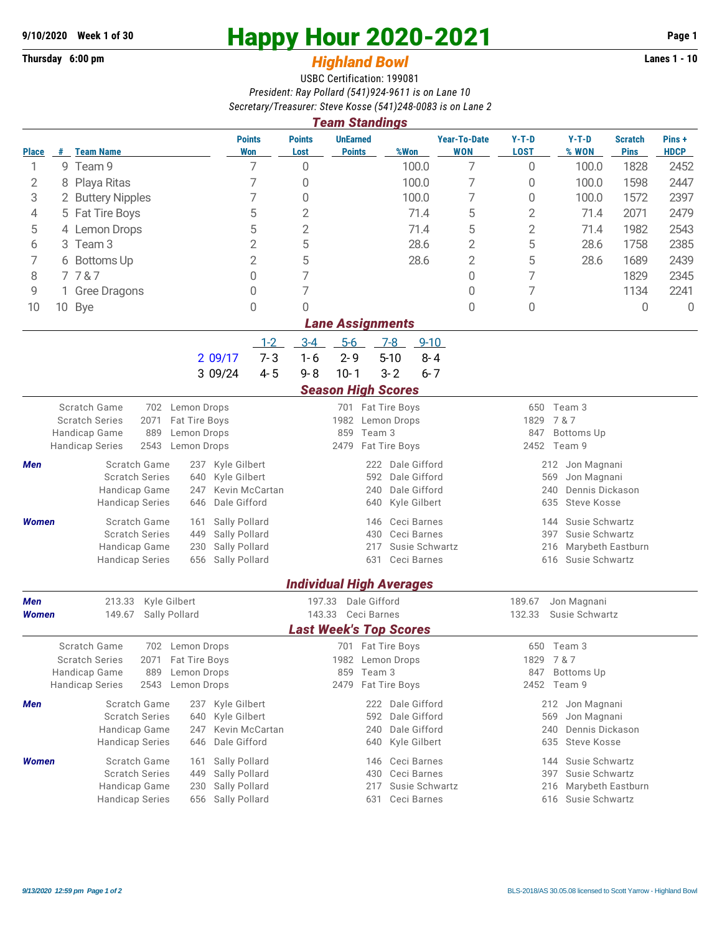## **Thursday 6:00 pm** *Highland Bowl* **Lanes 1 - 10**

## **9/10/2020 Week 1 of 30 Happy Hour 2020-2021 Page 1**

## USBC Certification: 199081 *President: Ray Pollard (541)924-9611 is on Lane 10 Secretary/Treasurer: Steve Kosse (541)248-0083 is on Lane 2*

|                                                                          | <b>Team Standings</b>                                                                                     |                                         |                                              |                                             |                                                   |                                   |                        |                                              |                                     |                      |  |  |  |
|--------------------------------------------------------------------------|-----------------------------------------------------------------------------------------------------------|-----------------------------------------|----------------------------------------------|---------------------------------------------|---------------------------------------------------|-----------------------------------|------------------------|----------------------------------------------|-------------------------------------|----------------------|--|--|--|
| <b>Place</b>                                                             |                                                                                                           | # Team Name                             | <b>Points</b><br><b>Won</b>                  | <b>Points</b><br>Lost                       | <b>UnEarned</b><br>%Won<br><b>Points</b>          | <b>Year-To-Date</b><br><b>WON</b> | $Y-T-D$<br><b>LOST</b> | $Y-T-D$<br>% WON                             | <b>Scratch</b><br><b>Pins</b>       | Pins+<br><b>HDCP</b> |  |  |  |
| 1                                                                        |                                                                                                           | 9 Team 9                                | 7                                            | 0                                           | 100.0                                             | 7                                 | 0                      | 100.0                                        | 1828                                | 2452                 |  |  |  |
| 2                                                                        | 8                                                                                                         | Playa Ritas                             | 7                                            | 0                                           | 100.0                                             | $\overline{7}$                    | 0                      | 100.0                                        | 1598                                | 2447                 |  |  |  |
| 3                                                                        |                                                                                                           | 2 Buttery Nipples                       | 7                                            | 0                                           | 100.0                                             | $\overline{7}$                    | $\boldsymbol{0}$       | 100.0                                        | 1572                                | 2397                 |  |  |  |
| 4                                                                        |                                                                                                           | 5 Fat Tire Boys                         | 5                                            | $\mathbf{2}$                                | 71.4                                              | 5                                 | 2                      | 71.4                                         | 2071                                | 2479                 |  |  |  |
| 5                                                                        |                                                                                                           | 4 Lemon Drops                           | 5                                            | 2                                           | 71.4                                              | 5                                 | 2                      | 71.4                                         | 1982                                | 2543                 |  |  |  |
| 6                                                                        |                                                                                                           | 3 Team 3                                | $\overline{2}$                               | 5                                           | 28.6                                              | $\overline{2}$                    | 5                      | 28.6                                         | 1758                                | 2385                 |  |  |  |
| 7                                                                        |                                                                                                           | 6 Bottoms Up                            | $\overline{2}$                               | 5                                           | 28.6                                              | $\overline{2}$                    | 5                      | 28.6                                         | 1689                                | 2439                 |  |  |  |
| 8                                                                        |                                                                                                           | 7787                                    | 0                                            | 7                                           |                                                   | 0                                 | 7                      |                                              | 1829                                | 2345                 |  |  |  |
| 9                                                                        |                                                                                                           | 1 Gree Dragons                          | 0                                            | 7                                           |                                                   | $\Omega$                          | 7                      |                                              | 1134                                | 2241                 |  |  |  |
| 10                                                                       |                                                                                                           | 10 Bye                                  | $\overline{0}$                               | 0                                           |                                                   | $\mathbf{0}$                      | 0                      |                                              | $\Omega$                            | $\overline{0}$       |  |  |  |
| <b>Lane Assignments</b><br>$5-6$<br>$1 - 2$<br>$9 - 10$                  |                                                                                                           |                                         |                                              |                                             |                                                   |                                   |                        |                                              |                                     |                      |  |  |  |
|                                                                          |                                                                                                           |                                         |                                              | $3 - 4$<br>$2 - 9$                          | $7-8$<br>$5 - 10$                                 |                                   |                        |                                              |                                     |                      |  |  |  |
|                                                                          |                                                                                                           |                                         | $7 - 3$<br>2 09/17<br>$4 - 5$<br>3 09/24     | $1 - 6$<br>$9 - 8$                          | $8 - 4$<br>$3 - 2$                                |                                   |                        |                                              |                                     |                      |  |  |  |
|                                                                          | $10 - 1$<br>$6 - 7$                                                                                       |                                         |                                              |                                             |                                                   |                                   |                        |                                              |                                     |                      |  |  |  |
|                                                                          | <b>Season High Scores</b><br><b>Scratch Game</b><br>702 Lemon Drops<br>701 Fat Tire Boys<br>650<br>Team 3 |                                         |                                              |                                             |                                                   |                                   |                        |                                              |                                     |                      |  |  |  |
|                                                                          | <b>Scratch Series</b><br>2071<br>Fat Tire Boys                                                            |                                         |                                              | 1982 Lemon Drops                            | 7 & 7<br>1829                                     |                                   |                        |                                              |                                     |                      |  |  |  |
|                                                                          |                                                                                                           | 889<br>Handicap Game                    | Lemon Drops                                  | 859                                         | Team 3                                            | 847<br><b>Bottoms Up</b>          |                        |                                              |                                     |                      |  |  |  |
|                                                                          |                                                                                                           | 2543<br><b>Handicap Series</b>          | Lemon Drops                                  | 2479                                        | Fat Tire Boys                                     |                                   | 2452                   | Team 9                                       |                                     |                      |  |  |  |
| Men                                                                      |                                                                                                           | Scratch Game<br><b>Scratch Series</b>   | Kyle Gilbert<br>237                          |                                             | Dale Gifford<br>222                               |                                   | 212<br>Jon Magnani     |                                              |                                     |                      |  |  |  |
|                                                                          |                                                                                                           | Handicap Game                           | Kyle Gilbert<br>640<br>Kevin McCartan<br>247 |                                             | Dale Gifford<br>592<br>Dale Gifford<br>240        |                                   |                        | 569<br>Jon Magnani<br>Dennis Dickason<br>240 |                                     |                      |  |  |  |
|                                                                          |                                                                                                           | <b>Handicap Series</b>                  | Dale Gifford<br>646                          |                                             | Kyle Gilbert<br>640                               |                                   | 635                    | <b>Steve Kosse</b>                           |                                     |                      |  |  |  |
| <b>Women</b>                                                             |                                                                                                           | Scratch Game                            | Sally Pollard<br>161                         |                                             | Ceci Barnes<br>146                                |                                   | 144                    | Susie Schwartz                               |                                     |                      |  |  |  |
|                                                                          |                                                                                                           | <b>Scratch Series</b>                   | 449<br>Sally Pollard                         | Ceci Barnes<br>430<br>397<br>Susie Schwartz |                                                   |                                   |                        |                                              | Susie Schwartz<br>Marybeth Eastburn |                      |  |  |  |
|                                                                          |                                                                                                           | Handicap Game<br><b>Handicap Series</b> | Sally Pollard<br>230<br>Sally Pollard<br>656 |                                             | 217<br>Ceci Barnes<br>631                         |                                   | 216<br>616             | Susie Schwartz                               |                                     |                      |  |  |  |
|                                                                          |                                                                                                           |                                         |                                              |                                             |                                                   |                                   |                        |                                              |                                     |                      |  |  |  |
|                                                                          | <b>Individual High Averages</b>                                                                           |                                         |                                              |                                             |                                                   |                                   |                        |                                              |                                     |                      |  |  |  |
| Kyle Gilbert<br><b>Men</b><br>213.33<br>Sally Pollard                    |                                                                                                           |                                         | 197.33<br>143.33                             | Dale Gifford<br>Ceci Barnes                 | 189.67<br>Jon Magnani<br>132.33<br>Susie Schwartz |                                   |                        |                                              |                                     |                      |  |  |  |
| <b>Women</b>                                                             |                                                                                                           | 149.67                                  |                                              |                                             | <b>Last Week's Top Scores</b>                     |                                   |                        |                                              |                                     |                      |  |  |  |
| Scratch Game<br>701 Fat Tire Boys<br>Lemon Drops<br>702<br>650<br>Team 3 |                                                                                                           |                                         |                                              |                                             |                                                   |                                   |                        |                                              |                                     |                      |  |  |  |
|                                                                          |                                                                                                           | <b>Scratch Series</b><br>2071           | Fat Tire Boys                                |                                             | 1982 Lemon Drops                                  | 1829<br>7&7                       |                        |                                              |                                     |                      |  |  |  |
|                                                                          |                                                                                                           | Handicap Game<br>889                    | Lemon Drops                                  |                                             | 859 Team 3                                        | 847<br><b>Bottoms Up</b>          |                        |                                              |                                     |                      |  |  |  |
|                                                                          |                                                                                                           | 2543<br><b>Handicap Series</b>          | Lemon Drops                                  | 2479                                        | Fat Tire Boys                                     |                                   |                        | 2452 Team 9                                  |                                     |                      |  |  |  |
| Men                                                                      |                                                                                                           | Scratch Game                            | Kyle Gilbert<br>237                          |                                             | 222 Dale Gifford                                  |                                   |                        | 212 Jon Magnani                              |                                     |                      |  |  |  |
|                                                                          |                                                                                                           | <b>Scratch Series</b><br>Handicap Game  | Kyle Gilbert<br>640<br>Kevin McCartan<br>247 |                                             | 592<br>Dale Gifford<br>Dale Gifford<br>240        |                                   | 569<br>240             | Jon Magnani<br>Dennis Dickason               |                                     |                      |  |  |  |
|                                                                          |                                                                                                           | <b>Handicap Series</b>                  | Dale Gifford<br>646                          |                                             | Kyle Gilbert<br>640                               |                                   | 635                    | Steve Kosse                                  |                                     |                      |  |  |  |
| <b>Women</b>                                                             |                                                                                                           | Scratch Game                            | Sally Pollard<br>161                         |                                             | Ceci Barnes<br>146                                |                                   | 144                    | Susie Schwartz                               |                                     |                      |  |  |  |
|                                                                          |                                                                                                           | <b>Scratch Series</b>                   | Sally Pollard<br>449                         |                                             | Ceci Barnes<br>430                                |                                   | 397                    | Susie Schwartz                               |                                     |                      |  |  |  |
|                                                                          |                                                                                                           | Handicap Game                           | Sally Pollard<br>230                         |                                             | Susie Schwartz<br>217                             |                                   | 216                    | Marybeth Eastburn                            |                                     |                      |  |  |  |
|                                                                          |                                                                                                           | <b>Handicap Series</b>                  | Sally Pollard<br>656                         |                                             | Ceci Barnes<br>631                                |                                   |                        | 616 Susie Schwartz                           |                                     |                      |  |  |  |